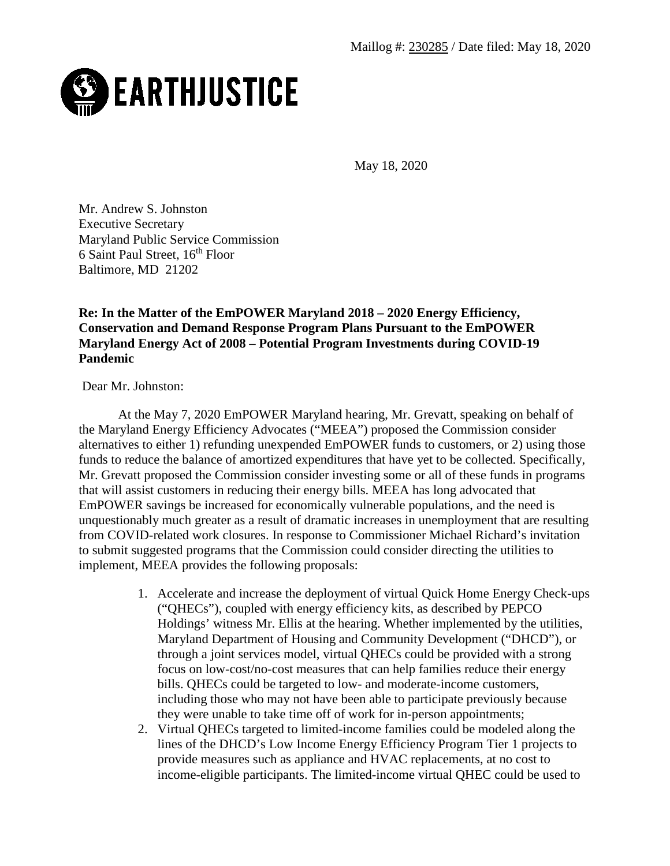

May 18, 2020

Mr. Andrew S. Johnston Executive Secretary Maryland Public Service Commission 6 Saint Paul Street, 16<sup>th</sup> Floor Baltimore, MD 21202

## **Re: In the Matter of the EmPOWER Maryland 2018 – 2020 Energy Efficiency, Conservation and Demand Response Program Plans Pursuant to the EmPOWER Maryland Energy Act of 2008 – Potential Program Investments during COVID-19 Pandemic**

Dear Mr. Johnston:

At the May 7, 2020 EmPOWER Maryland hearing, Mr. Grevatt, speaking on behalf of the Maryland Energy Efficiency Advocates ("MEEA") proposed the Commission consider alternatives to either 1) refunding unexpended EmPOWER funds to customers, or 2) using those funds to reduce the balance of amortized expenditures that have yet to be collected. Specifically, Mr. Grevatt proposed the Commission consider investing some or all of these funds in programs that will assist customers in reducing their energy bills. MEEA has long advocated that EmPOWER savings be increased for economically vulnerable populations, and the need is unquestionably much greater as a result of dramatic increases in unemployment that are resulting from COVID-related work closures. In response to Commissioner Michael Richard's invitation to submit suggested programs that the Commission could consider directing the utilities to implement, MEEA provides the following proposals:

- 1. Accelerate and increase the deployment of virtual Quick Home Energy Check-ups ("QHECs"), coupled with energy efficiency kits, as described by PEPCO Holdings' witness Mr. Ellis at the hearing. Whether implemented by the utilities, Maryland Department of Housing and Community Development ("DHCD"), or through a joint services model, virtual QHECs could be provided with a strong focus on low-cost/no-cost measures that can help families reduce their energy bills. QHECs could be targeted to low- and moderate-income customers, including those who may not have been able to participate previously because they were unable to take time off of work for in-person appointments;
- 2. Virtual QHECs targeted to limited-income families could be modeled along the lines of the DHCD's Low Income Energy Efficiency Program Tier 1 projects to provide measures such as appliance and HVAC replacements, at no cost to income-eligible participants. The limited-income virtual QHEC could be used to